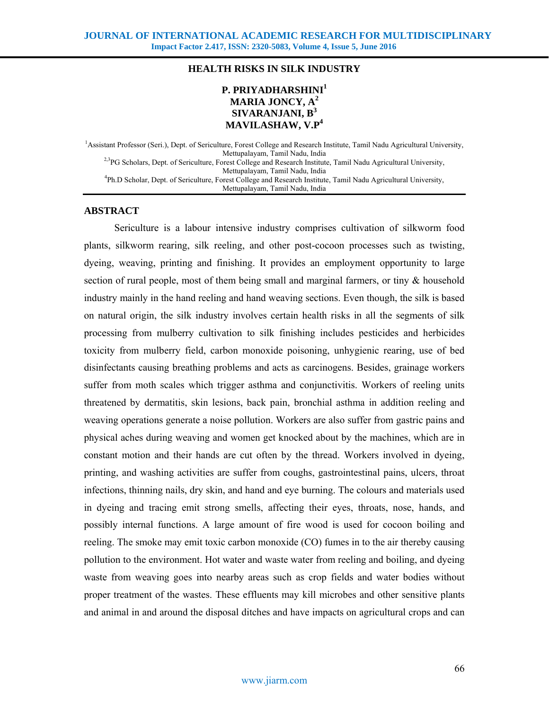## **HEALTH RISKS IN SILK INDUSTRY**

# **P. PRIYADHARSHINI1 MARIA JONCY, A<sup>2</sup> SIVARANJANI, B<sup>3</sup> MAVILASHAW, V.P4**

<sup>1</sup> Assistant Professor (Seri.), Dept. of Sericulture, Forest College and Research Institute, Tamil Nadu Agricultural University, Mettupalayam, Tamil Nadu, India <sup>2,3</sup>PG Scholars, Dept. of Sericulture, Forest College and Research Institute, Tamil Nadu Agricultural University, Mettupalayam, Tamil Nadu, India<br>A Ph.D Scholar, Dept. of Sericulture, Forest College and Research Institute, Tamil Nadu Agricultural University, Mettupalayam, Tamil Nadu, India

### **ABSTRACT**

 Sericulture is a labour intensive industry comprises cultivation of silkworm food plants, silkworm rearing, silk reeling, and other post-cocoon processes such as twisting, dyeing, weaving, printing and finishing. It provides an employment opportunity to large section of rural people, most of them being small and marginal farmers, or tiny  $\&$  household industry mainly in the hand reeling and hand weaving sections. Even though, the silk is based on natural origin, the silk industry involves certain health risks in all the segments of silk processing from mulberry cultivation to silk finishing includes pesticides and herbicides toxicity from mulberry field, carbon monoxide poisoning, unhygienic rearing, use of bed disinfectants causing breathing problems and acts as carcinogens. Besides, grainage workers suffer from moth scales which trigger asthma and conjunctivitis. Workers of reeling units threatened by dermatitis, skin lesions, back pain, bronchial asthma in addition reeling and weaving operations generate a noise pollution. Workers are also suffer from gastric pains and physical aches during weaving and women get knocked about by the machines, which are in constant motion and their hands are cut often by the thread. Workers involved in dyeing, printing, and washing activities are suffer from coughs, gastrointestinal pains, ulcers, throat infections, thinning nails, dry skin, and hand and eye burning. The colours and materials used in dyeing and tracing emit strong smells, affecting their eyes, throats, nose, hands, and possibly internal functions. A large amount of fire wood is used for cocoon boiling and reeling. The smoke may emit toxic carbon monoxide (CO) fumes in to the air thereby causing pollution to the environment. Hot water and waste water from reeling and boiling, and dyeing waste from weaving goes into nearby areas such as crop fields and water bodies without proper treatment of the wastes. These effluents may kill microbes and other sensitive plants and animal in and around the disposal ditches and have impacts on agricultural crops and can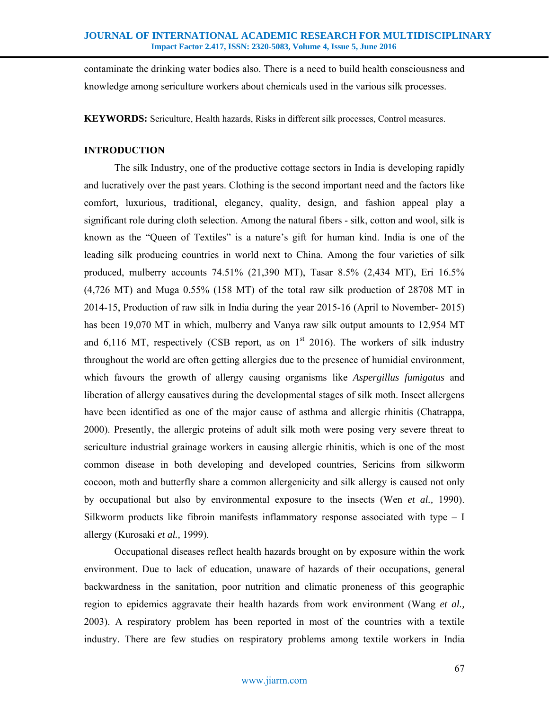contaminate the drinking water bodies also. There is a need to build health consciousness and knowledge among sericulture workers about chemicals used in the various silk processes.

**KEYWORDS:** Sericulture, Health hazards, Risks in different silk processes, Control measures.

# **INTRODUCTION**

 The silk Industry, one of the productive cottage sectors in India is developing rapidly and lucratively over the past years. Clothing is the second important need and the factors like comfort, luxurious, traditional, elegancy, quality, design, and fashion appeal play a significant role during cloth selection. Among the natural fibers - silk, cotton and wool, silk is known as the "Queen of Textiles" is a nature's gift for human kind. India is one of the leading silk producing countries in world next to China. Among the four varieties of silk produced, mulberry accounts 74.51% (21,390 MT), Tasar 8.5% (2,434 MT), Eri 16.5% (4,726 MT) and Muga 0.55% (158 MT) of the total raw silk production of 28708 MT in 2014-15, Production of raw silk in India during the year 2015-16 (April to November- 2015) has been 19,070 MT in which, mulberry and Vanya raw silk output amounts to 12,954 MT and 6,116 MT, respectively (CSB report, as on  $1<sup>st</sup>$  2016). The workers of silk industry throughout the world are often getting allergies due to the presence of humidial environment, which favours the growth of allergy causing organisms like *Aspergillus fumigatus* and liberation of allergy causatives during the developmental stages of silk moth. Insect allergens have been identified as one of the major cause of asthma and allergic rhinitis (Chatrappa, 2000). Presently, the allergic proteins of adult silk moth were posing very severe threat to sericulture industrial grainage workers in causing allergic rhinitis, which is one of the most common disease in both developing and developed countries, Sericins from silkworm cocoon, moth and butterfly share a common allergenicity and silk allergy is caused not only by occupational but also by environmental exposure to the insects (Wen *et al.,* 1990). Silkworm products like fibroin manifests inflammatory response associated with type  $-1$ allergy (Kurosaki *et al.,* 1999).

 Occupational diseases reflect health hazards brought on by exposure within the work environment. Due to lack of education, unaware of hazards of their occupations, general backwardness in the sanitation, poor nutrition and climatic proneness of this geographic region to epidemics aggravate their health hazards from work environment (Wang *et al.,* 2003). A respiratory problem has been reported in most of the countries with a textile industry. There are few studies on respiratory problems among textile workers in India

## www.jiarm.com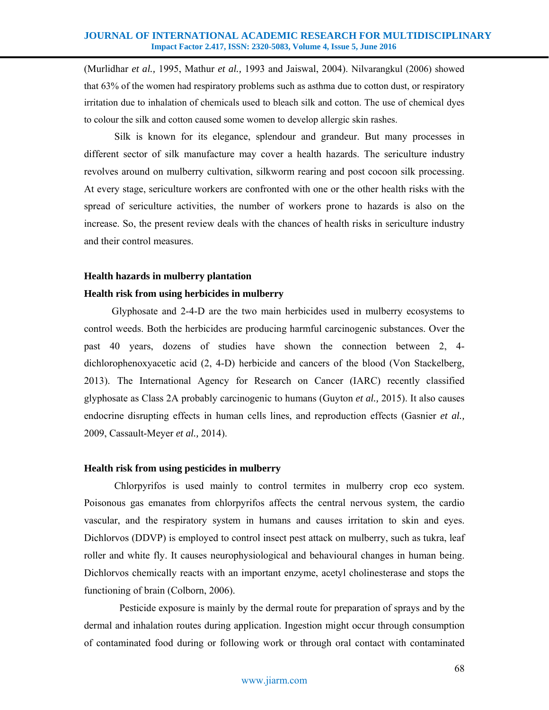(Murlidhar *et al.,* 1995, Mathur *et al.,* 1993 and Jaiswal, 2004). Nilvarangkul (2006) showed that 63% of the women had respiratory problems such as asthma due to cotton dust, or respiratory irritation due to inhalation of chemicals used to bleach silk and cotton. The use of chemical dyes to colour the silk and cotton caused some women to develop allergic skin rashes.

 Silk is known for its elegance, splendour and grandeur. But many processes in different sector of silk manufacture may cover a health hazards. The sericulture industry revolves around on mulberry cultivation, silkworm rearing and post cocoon silk processing. At every stage, sericulture workers are confronted with one or the other health risks with the spread of sericulture activities, the number of workers prone to hazards is also on the increase. So, the present review deals with the chances of health risks in sericulture industry and their control measures.

#### **Health hazards in mulberry plantation**

## **Health risk from using herbicides in mulberry**

Glyphosate and 2-4-D are the two main herbicides used in mulberry ecosystems to control weeds. Both the herbicides are producing harmful carcinogenic substances. Over the past 40 years, dozens of studies have shown the connection between 2, 4 dichlorophenoxyacetic acid (2, 4-D) herbicide and cancers of the blood (Von Stackelberg, 2013). The International Agency for Research on Cancer (IARC) recently classified glyphosate as Class 2A probably carcinogenic to humans (Guyton *et al.,* 2015). It also causes endocrine disrupting effects in human cells lines, and reproduction effects (Gasnier *et al.,* 2009, Cassault-Meyer *et al.,* 2014).

#### **Health risk from using pesticides in mulberry**

 Chlorpyrifos is used mainly to control termites in mulberry crop eco system. Poisonous gas emanates from chlorpyrifos affects the central nervous system, the cardio vascular, and the respiratory system in humans and causes irritation to skin and eyes. Dichlorvos (DDVP) is employed to control insect pest attack on mulberry, such as tukra, leaf roller and white fly. It causes neurophysiological and behavioural changes in human being. Dichlorvos chemically reacts with an important enzyme, acetyl cholinesterase and stops the functioning of brain (Colborn, 2006).

 Pesticide exposure is mainly by the dermal route for preparation of sprays and by the dermal and inhalation routes during application. Ingestion might occur through consumption of contaminated food during or following work or through oral contact with contaminated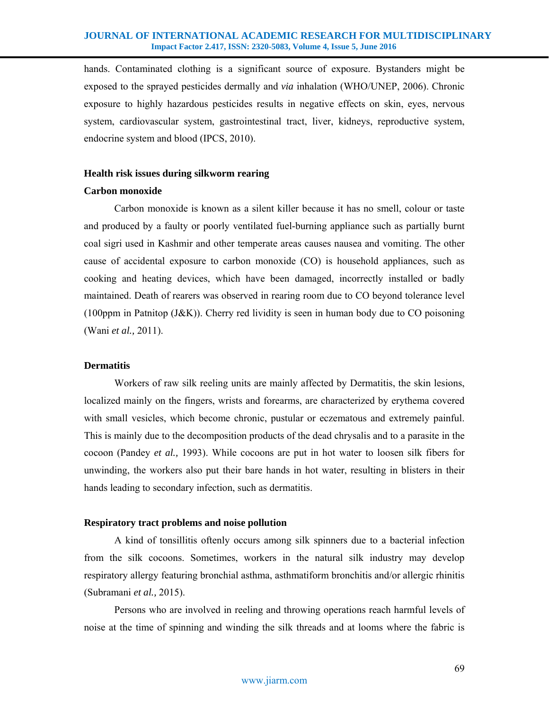#### **JOURNAL OF INTERNATIONAL ACADEMIC RESEARCH FOR MULTIDISCIPLINARY Impact Factor 2.417, ISSN: 2320-5083, Volume 4, Issue 5, June 2016**

hands. Contaminated clothing is a significant source of exposure. Bystanders might be exposed to the sprayed pesticides dermally and *via* inhalation (WHO/UNEP, 2006). Chronic exposure to highly hazardous pesticides results in negative effects on skin, eyes, nervous system, cardiovascular system, gastrointestinal tract, liver, kidneys, reproductive system, endocrine system and blood (IPCS, 2010).

## **Health risk issues during silkworm rearing**

#### **Carbon monoxide**

 Carbon monoxide is known as a silent killer because it has no smell, colour or taste and produced by a faulty or poorly ventilated fuel-burning appliance such as partially burnt coal sigri used in Kashmir and other temperate areas causes nausea and vomiting. The other cause of accidental exposure to carbon monoxide (CO) is household appliances, such as cooking and heating devices, which have been damaged, incorrectly installed or badly maintained. Death of rearers was observed in rearing room due to CO beyond tolerance level (100ppm in Patnitop (J&K)). Cherry red lividity is seen in human body due to CO poisoning (Wani *et al.,* 2011).

### **Dermatitis**

 Workers of raw silk reeling units are mainly affected by Dermatitis, the skin lesions, localized mainly on the fingers, wrists and forearms, are characterized by erythema covered with small vesicles, which become chronic, pustular or eczematous and extremely painful. This is mainly due to the decomposition products of the dead chrysalis and to a parasite in the cocoon (Pandey *et al.,* 1993). While cocoons are put in hot water to loosen silk fibers for unwinding, the workers also put their bare hands in hot water, resulting in blisters in their hands leading to secondary infection, such as dermatitis.

## **Respiratory tract problems and noise pollution**

 A kind of tonsillitis oftenly occurs among silk spinners due to a bacterial infection from the silk cocoons. Sometimes, workers in the natural silk industry may develop respiratory allergy featuring bronchial asthma, asthmatiform bronchitis and/or allergic rhinitis (Subramani *et al.,* 2015).

 Persons who are involved in reeling and throwing operations reach harmful levels of noise at the time of spinning and winding the silk threads and at looms where the fabric is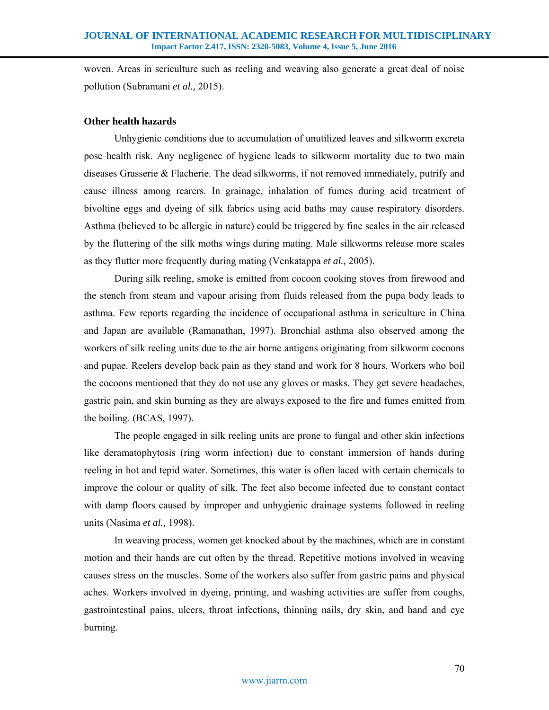woven. Areas in sericulture such as reeling and weaving also generate a great deal of noise pollution (Subramani *et al.,* 2015).

# **Other health hazards**

Unhygienic conditions due to accumulation of unutilized leaves and silkworm excreta pose health risk. Any negligence of hygiene leads to silkworm mortality due to two main diseases Grasserie & Flacherie. The dead silkworms, if not removed immediately, putrify and cause illness among rearers. In grainage, inhalation of fumes during acid treatment of bivoltine eggs and dyeing of silk fabrics using acid baths may cause respiratory disorders. Asthma (believed to be allergic in nature) could be triggered by fine scales in the air released by the fluttering of the silk moths wings during mating. Male silkworms release more scales as they flutter more frequently during mating (Venkatappa *et al.,* 2005).

 During silk reeling, smoke is emitted from cocoon cooking stoves from firewood and the stench from steam and vapour arising from fluids released from the pupa body leads to asthma. Few reports regarding the incidence of occupational asthma in sericulture in China and Japan are available (Ramanathan, 1997). Bronchial asthma also observed among the workers of silk reeling units due to the air borne antigens originating from silkworm cocoons and pupae. Reelers develop back pain as they stand and work for 8 hours. Workers who boil the cocoons mentioned that they do not use any gloves or masks. They get severe headaches, gastric pain, and skin burning as they are always exposed to the fire and fumes emitted from the boiling. (BCAS, 1997).

The people engaged in silk reeling units are prone to fungal and other skin infections like deramatophytosis (ring worm infection) due to constant immersion of hands during reeling in hot and tepid water. Sometimes, this water is often laced with certain chemicals to improve the colour or quality of silk. The feet also become infected due to constant contact with damp floors caused by improper and unhygienic drainage systems followed in reeling units (Nasima *et al.,* 1998).

 In weaving process, women get knocked about by the machines, which are in constant motion and their hands are cut often by the thread. Repetitive motions involved in weaving causes stress on the muscles. Some of the workers also suffer from gastric pains and physical aches. Workers involved in dyeing, printing, and washing activities are suffer from coughs, gastrointestinal pains, ulcers, throat infections, thinning nails, dry skin, and hand and eye burning.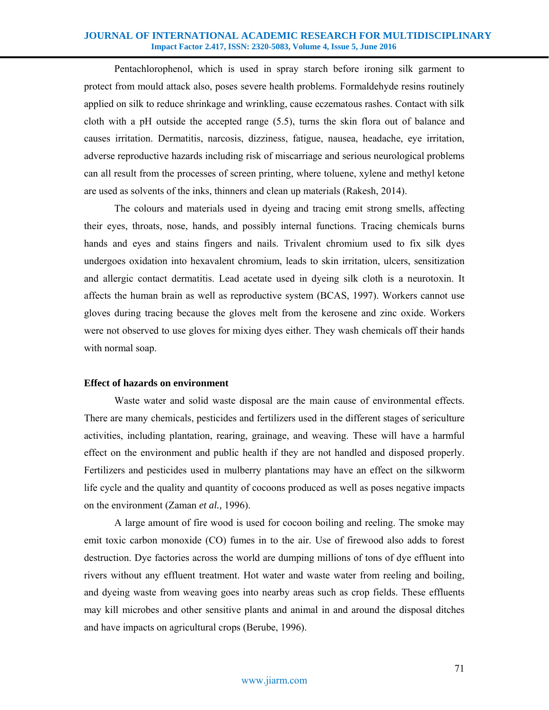#### **JOURNAL OF INTERNATIONAL ACADEMIC RESEARCH FOR MULTIDISCIPLINARY Impact Factor 2.417, ISSN: 2320-5083, Volume 4, Issue 5, June 2016**

 Pentachlorophenol, which is used in spray starch before ironing silk garment to protect from mould attack also, poses severe health problems. Formaldehyde resins routinely applied on silk to reduce shrinkage and wrinkling, cause eczematous rashes. Contact with silk cloth with a pH outside the accepted range (5.5), turns the skin flora out of balance and causes irritation. Dermatitis, narcosis, dizziness, fatigue, nausea, headache, eye irritation, adverse reproductive hazards including risk of miscarriage and serious neurological problems can all result from the processes of screen printing, where toluene, xylene and methyl ketone are used as solvents of the inks, thinners and clean up materials (Rakesh, 2014).

 The colours and materials used in dyeing and tracing emit strong smells, affecting their eyes, throats, nose, hands, and possibly internal functions. Tracing chemicals burns hands and eyes and stains fingers and nails. Trivalent chromium used to fix silk dyes undergoes oxidation into hexavalent chromium, leads to skin irritation, ulcers, sensitization and allergic contact dermatitis. Lead acetate used in dyeing silk cloth is a neurotoxin. It affects the human brain as well as reproductive system (BCAS, 1997). Workers cannot use gloves during tracing because the gloves melt from the kerosene and zinc oxide. Workers were not observed to use gloves for mixing dyes either. They wash chemicals off their hands with normal soap.

## **Effect of hazards on environment**

 Waste water and solid waste disposal are the main cause of environmental effects. There are many chemicals, pesticides and fertilizers used in the different stages of sericulture activities, including plantation, rearing, grainage, and weaving. These will have a harmful effect on the environment and public health if they are not handled and disposed properly. Fertilizers and pesticides used in mulberry plantations may have an effect on the silkworm life cycle and the quality and quantity of cocoons produced as well as poses negative impacts on the environment (Zaman *et al.,* 1996).

 A large amount of fire wood is used for cocoon boiling and reeling. The smoke may emit toxic carbon monoxide (CO) fumes in to the air. Use of firewood also adds to forest destruction. Dye factories across the world are dumping millions of tons of dye effluent into rivers without any effluent treatment. Hot water and waste water from reeling and boiling, and dyeing waste from weaving goes into nearby areas such as crop fields. These effluents may kill microbes and other sensitive plants and animal in and around the disposal ditches and have impacts on agricultural crops (Berube, 1996).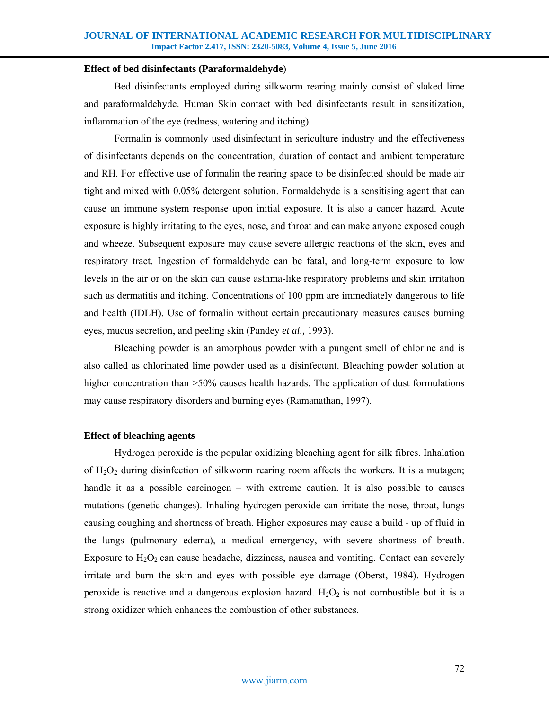#### **Effect of bed disinfectants (Paraformaldehyde**)

 Bed disinfectants employed during silkworm rearing mainly consist of slaked lime and paraformaldehyde. Human Skin contact with bed disinfectants result in sensitization, inflammation of the eye (redness, watering and itching).

 Formalin is commonly used disinfectant in sericulture industry and the effectiveness of disinfectants depends on the concentration, duration of contact and ambient temperature and RH. For effective use of formalin the rearing space to be disinfected should be made air tight and mixed with 0.05% detergent solution. Formaldehyde is a sensitising agent that can cause an immune system response upon initial exposure. It is also a cancer hazard. Acute exposure is highly irritating to the eyes, nose, and throat and can make anyone exposed cough and wheeze. Subsequent exposure may cause severe allergic reactions of the skin, eyes and respiratory tract. Ingestion of formaldehyde can be fatal, and long-term exposure to low levels in the air or on the skin can cause asthma-like respiratory problems and skin irritation such as dermatitis and itching. Concentrations of 100 ppm are immediately dangerous to life and health (IDLH). Use of formalin without certain precautionary measures causes burning eyes, mucus secretion, and peeling skin (Pandey *et al.,* 1993).

 Bleaching powder is an amorphous powder with a pungent smell of chlorine and is also called as chlorinated lime powder used as a disinfectant. Bleaching powder solution at higher concentration than  $>50\%$  causes health hazards. The application of dust formulations may cause respiratory disorders and burning eyes (Ramanathan, 1997).

# **Effect of bleaching agents**

Hydrogen peroxide is the popular oxidizing bleaching agent for silk fibres. Inhalation of  $H_2O_2$  during disinfection of silkworm rearing room affects the workers. It is a mutagen; handle it as a possible carcinogen – with extreme caution. It is also possible to causes mutations (genetic changes). Inhaling hydrogen peroxide can irritate the nose, throat, lungs causing coughing and shortness of breath. Higher exposures may cause a build - up of fluid in the lungs (pulmonary edema), a medical emergency, with severe shortness of breath. Exposure to  $H_2O_2$  can cause headache, dizziness, nausea and vomiting. Contact can severely irritate and burn the skin and eyes with possible eye damage (Oberst, 1984). Hydrogen peroxide is reactive and a dangerous explosion hazard.  $H_2O_2$  is not combustible but it is a strong oxidizer which enhances the combustion of other substances.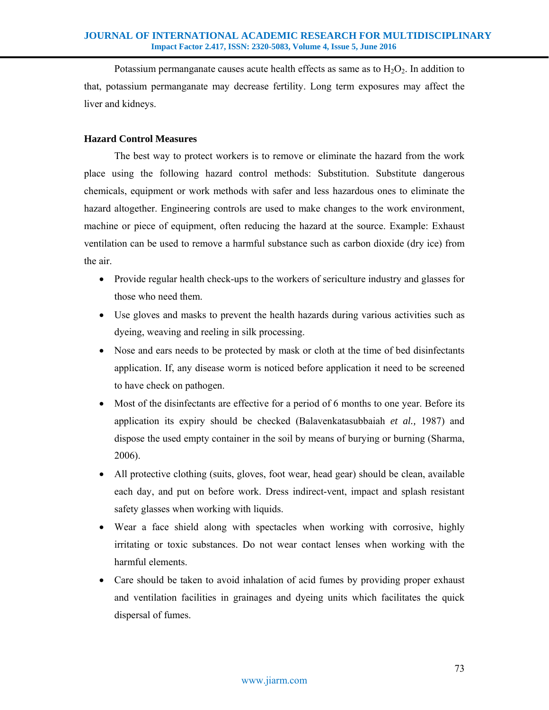Potassium permanganate causes acute health effects as same as to  $H_2O_2$ . In addition to that, potassium permanganate may decrease fertility. Long term exposures may affect the liver and kidneys.

# **Hazard Control Measures**

 The best way to protect workers is to remove or eliminate the hazard from the work place using the following hazard control methods: Substitution. Substitute dangerous chemicals, equipment or work methods with safer and less hazardous ones to eliminate the hazard altogether. Engineering controls are used to make changes to the work environment, machine or piece of equipment, often reducing the hazard at the source. Example: Exhaust ventilation can be used to remove a harmful substance such as carbon dioxide (dry ice) from the air.

- Provide regular health check-ups to the workers of sericulture industry and glasses for those who need them.
- Use gloves and masks to prevent the health hazards during various activities such as dyeing, weaving and reeling in silk processing.
- Nose and ears needs to be protected by mask or cloth at the time of bed disinfectants application. If, any disease worm is noticed before application it need to be screened to have check on pathogen.
- Most of the disinfectants are effective for a period of 6 months to one year. Before its application its expiry should be checked (Balavenkatasubbaiah *et al.,* 1987) and dispose the used empty container in the soil by means of burying or burning (Sharma, 2006).
- All protective clothing (suits, gloves, foot wear, head gear) should be clean, available each day, and put on before work. Dress indirect-vent, impact and splash resistant safety glasses when working with liquids.
- Wear a face shield along with spectacles when working with corrosive, highly irritating or toxic substances. Do not wear contact lenses when working with the harmful elements.
- Care should be taken to avoid inhalation of acid fumes by providing proper exhaust and ventilation facilities in grainages and dyeing units which facilitates the quick dispersal of fumes.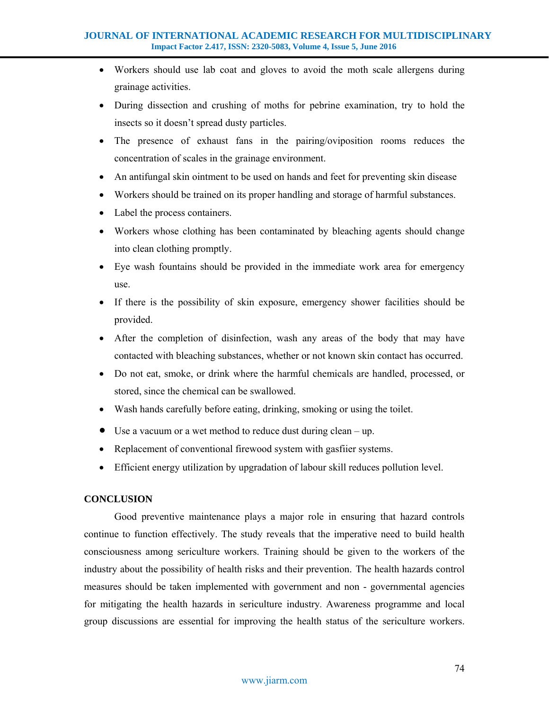- Workers should use lab coat and gloves to avoid the moth scale allergens during grainage activities.
- During dissection and crushing of moths for pebrine examination, try to hold the insects so it doesn't spread dusty particles.
- The presence of exhaust fans in the pairing/oviposition rooms reduces the concentration of scales in the grainage environment.
- An antifungal skin ointment to be used on hands and feet for preventing skin disease
- Workers should be trained on its proper handling and storage of harmful substances.
- Label the process containers.
- Workers whose clothing has been contaminated by bleaching agents should change into clean clothing promptly.
- Eye wash fountains should be provided in the immediate work area for emergency use.
- If there is the possibility of skin exposure, emergency shower facilities should be provided.
- After the completion of disinfection, wash any areas of the body that may have contacted with bleaching substances, whether or not known skin contact has occurred.
- Do not eat, smoke, or drink where the harmful chemicals are handled, processed, or stored, since the chemical can be swallowed.
- Wash hands carefully before eating, drinking, smoking or using the toilet.
- Use a vacuum or a wet method to reduce dust during clean up.
- Replacement of conventional firewood system with gasfiier systems.
- Efficient energy utilization by upgradation of labour skill reduces pollution level.

# **CONCLUSION**

 Good preventive maintenance plays a major role in ensuring that hazard controls continue to function effectively. The study reveals that the imperative need to build health consciousness among sericulture workers. Training should be given to the workers of the industry about the possibility of health risks and their prevention. The health hazards control measures should be taken implemented with government and non - governmental agencies for mitigating the health hazards in sericulture industry. Awareness programme and local group discussions are essential for improving the health status of the sericulture workers.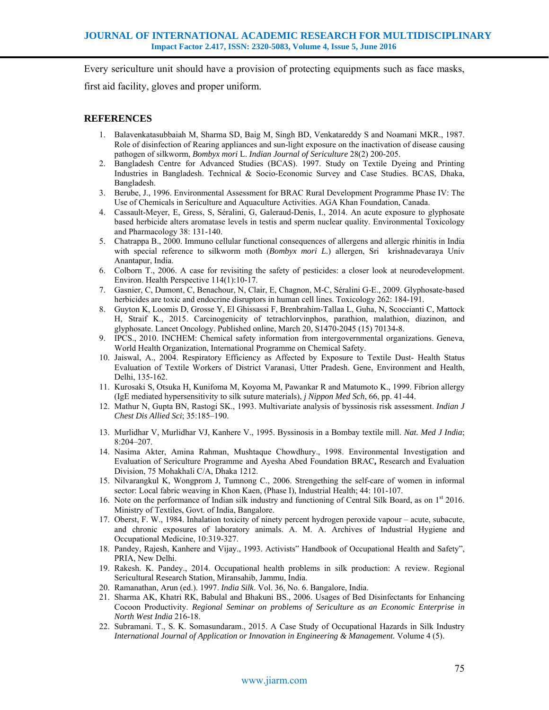Every sericulture unit should have a provision of protecting equipments such as face masks,

first aid facility, gloves and proper uniform.

# **REFERENCES**

- 1. Balavenkatasubbaiah M, Sharma SD, Baig M, Singh BD, Venkatareddy S and Noamani MKR., 1987. Role of disinfection of Rearing appliances and sun-light exposure on the inactivation of disease causing pathogen of silkworm, *Bombyx mori* L. *Indian Journal of Sericulture* 28(2) 200-205.
- 2. Bangladesh Centre for Advanced Studies (BCAS). 1997. Study on Textile Dyeing and Printing Industries in Bangladesh. Technical & Socio-Economic Survey and Case Studies. BCAS, Dhaka, Bangladesh.
- 3. Berube, J., 1996. Environmental Assessment for BRAC Rural Development Programme Phase IV: The Use of Chemicals in Sericulture and Aquaculture Activities. AGA Khan Foundation, Canada.
- 4. Cassault-Meyer, E, Gress, S, Séralini, G, Galeraud-Denis, I., 2014. An acute exposure to glyphosate based herbicide alters aromatase levels in testis and sperm nuclear quality. Environmental Toxicology and Pharmacology 38: 131-140.
- 5. Chatrappa B., 2000. Immuno cellular functional consequences of allergens and allergic rhinitis in India with special reference to silkworm moth (*Bombyx mori L.*) allergen, Sri krishnadevaraya Univ Anantapur, India.
- 6. Colborn T., 2006. A case for revisiting the safety of pesticides: a closer look at neurodevelopment. Environ. Health Perspective 114(1):10-17.
- 7. Gasnier, C, Dumont, C, Benachour, N, Clair, E, Chagnon, M-C, Séralini G-E., 2009. Glyphosate-based herbicides are toxic and endocrine disruptors in human cell lines. Toxicology 262: 184-191.
- 8. Guyton K, Loomis D, Grosse Y, El Ghissassi F, Brenbrahim-Tallaa L, Guha, N, Scoccianti C, Mattock H, Straif K., 2015. Carcinogenicity of tetrachlorvinphos, parathion, malathion, diazinon, and glyphosate. Lancet Oncology. Published online, March 20, S1470-2045 (15) 70134-8.
- 9. IPCS., 2010. INCHEM: Chemical safety information from intergovernmental organizations. Geneva, World Health Organization, International Programme on Chemical Safety.
- 10. Jaiswal, A., 2004. Respiratory Efficiency as Affected by Exposure to Textile Dust- Health Status Evaluation of Textile Workers of District Varanasi, Utter Pradesh. Gene, Environment and Health, Delhi, 135-162.
- 11. Kurosaki S, Otsuka H, Kunifoma M, Koyoma M, Pawankar R and Matumoto K., 1999. Fibrion allergy (IgE mediated hypersensitivity to silk suture materials), *j Nippon Med Sch*, 66, pp. 41-44.
- 12. Mathur N, Gupta BN, Rastogi SK., 1993. Multivariate analysis of byssinosis risk assessment. *Indian J Chest Dis Allied Sci*; 35:185–190.
- 13. Murlidhar V, Murlidhar VJ, Kanhere V., 1995. Byssinosis in a Bombay textile mill. *Nat. Med J India*; 8:204–207.
- 14. Nasima Akter, Amina Rahman, Mushtaque Chowdhury., 1998. Environmental Investigation and Evaluation of Sericulture Programme and Ayesha Abed Foundation BRAC**,** Research and Evaluation Division, 75 Mohakhali C/A, Dhaka 1212.
- 15. Nilvarangkul K, Wongprom J, Tumnong C., 2006. Strengething the self-care of women in informal sector: Local fabric weaving in Khon Kaen, (Phase I), Industrial Health; 44: 101-107.
- 16. Note on the performance of Indian silk industry and functioning of Central Silk Board, as on 1<sup>st</sup> 2016. Ministry of Textiles, Govt. of India, Bangalore.
- 17. Oberst, F. W., 1984. Inhalation toxicity of ninety percent hydrogen peroxide vapour acute, subacute, and chronic exposures of laboratory animals. A. M. A. Archives of Industrial Hygiene and Occupational Medicine, 10:319-327.
- 18. Pandey, Rajesh, Kanhere and Vijay., 1993. Activists" Handbook of Occupational Health and Safety", PRIA, New Delhi.
- 19. Rakesh. K. Pandey., 2014. Occupational health problems in silk production: A review. Regional Sericultural Research Station, Miransahib, Jammu, India.
- 20. Ramanathan, Arun (ed.). 1997. *India Silk*. Vol. 36, No. 6. Bangalore, India.
- 21. Sharma AK, Khatri RK, Babulal and Bhakuni BS., 2006. Usages of Bed Disinfectants for Enhancing Cocoon Productivity. *Regional Seminar on problems of Sericulture as an Economic Enterprise in North West India* 216-18.
- 22. Subramani. T., S. K. Somasundaram., 2015. A Case Study of Occupational Hazards in Silk Industry *International Journal of Application or Innovation in Engineering & Management.* Volume 4 (5).

#### www.jiarm.com